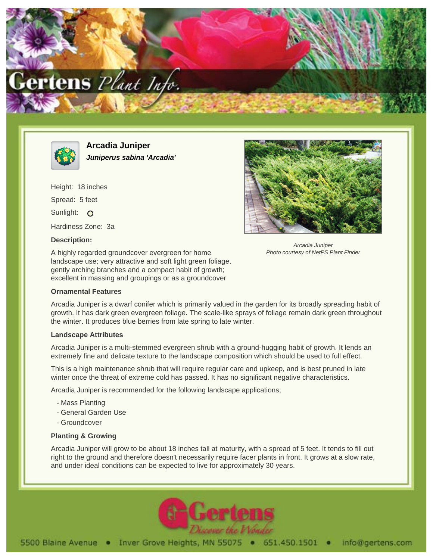



**Arcadia Juniper Juniperus sabina 'Arcadia'**

Height: 18 inches Spread: 5 feet Sunlight: O Hardiness Zone: 3a

## **Description:**

A highly regarded groundcover evergreen for home landscape use; very attractive and soft light green foliage, gently arching branches and a compact habit of growth; excellent in massing and groupings or as a groundcover

## **Ornamental Features**

Arcadia Juniper Photo courtesy of NetPS Plant Finder

Arcadia Juniper is a dwarf conifer which is primarily valued in the garden for its broadly spreading habit of growth. It has dark green evergreen foliage. The scale-like sprays of foliage remain dark green throughout the winter. It produces blue berries from late spring to late winter.

## **Landscape Attributes**

Arcadia Juniper is a multi-stemmed evergreen shrub with a ground-hugging habit of growth. It lends an extremely fine and delicate texture to the landscape composition which should be used to full effect.

This is a high maintenance shrub that will require regular care and upkeep, and is best pruned in late winter once the threat of extreme cold has passed. It has no significant negative characteristics.

Arcadia Juniper is recommended for the following landscape applications;

- Mass Planting
- General Garden Use
- Groundcover

## **Planting & Growing**

Arcadia Juniper will grow to be about 18 inches tall at maturity, with a spread of 5 feet. It tends to fill out right to the ground and therefore doesn't necessarily require facer plants in front. It grows at a slow rate, and under ideal conditions can be expected to live for approximately 30 years.